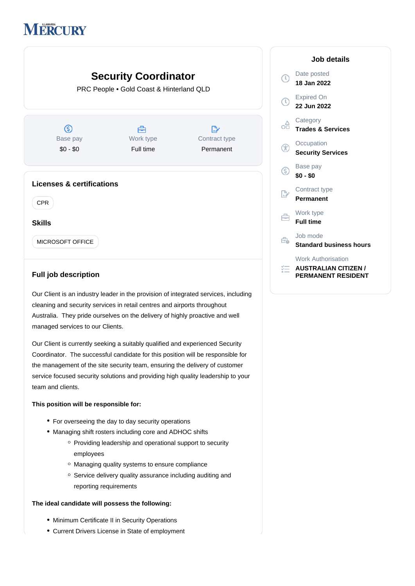## **MERCURY**



## **Full job description**

Our Client is an industry leader in the provision of integrated services, including cleaning and security services in retail centres and airports throughout Australia. They pride ourselves on the delivery of highly proactive and well managed services to our Clients.

Our Client is currently seeking a suitably qualified and experienced Security Coordinator. The successful candidate for this position will be responsible for the management of the site security team, ensuring the delivery of customer service focused security solutions and providing high quality leadership to your team and clients.

## **This position will be responsible for:**

- For overseeing the day to day security operations
- Managing shift rosters including core and ADHOC shifts
	- $\circ$  Providing leadership and operational support to security employees
	- Managing quality systems to ensure compliance
	- o Service delivery quality assurance including auditing and reporting requirements

## **The ideal candidate will possess the following:**

- Minimum Certificate II in Security Operations
- Current Drivers License in State of employment

| Job details                                                                           |
|---------------------------------------------------------------------------------------|
| Date posted<br>18 Jan 2022                                                            |
| <b>Expired On</b><br>22 Jun 2022                                                      |
| Category<br><b>Trades &amp; Services</b>                                              |
| Occupation<br><b>Security Services</b>                                                |
| Base pay<br>\$0 - \$0                                                                 |
| Contract type<br><b>Permanent</b>                                                     |
| Work type<br><b>Full time</b>                                                         |
| Job mode<br><b>Standard business hours</b>                                            |
| <b>Work Authorisation</b><br><b>AUSTRALIAN CITIZEN /</b><br><b>PERMANENT RESIDENT</b> |